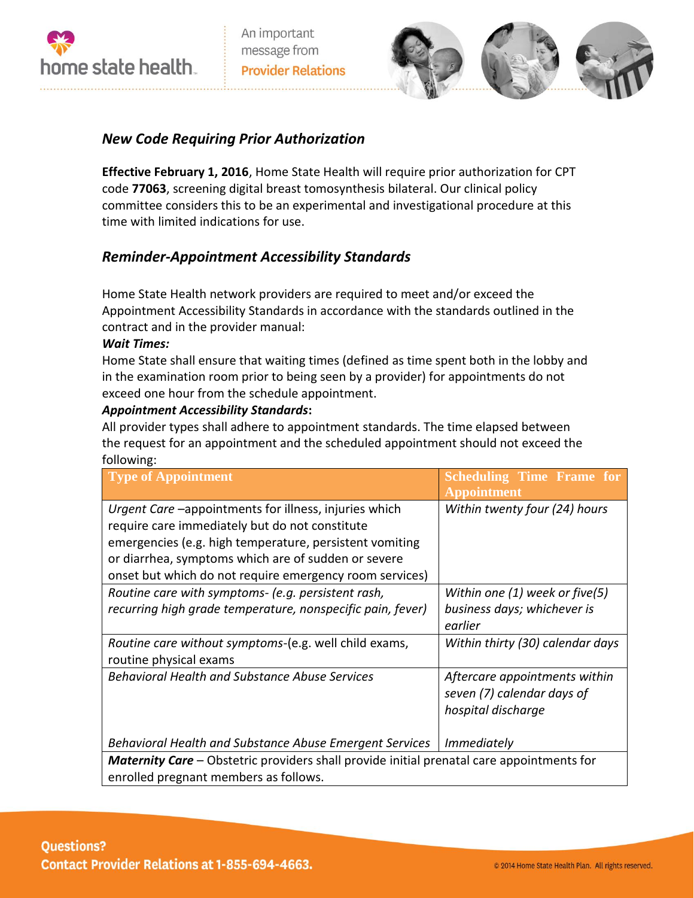

An important message from **Provider Relations** 



## *New Code Requiring Prior Authorization*

**Effective February 1, 2016**, Home State Health will require prior authorization for CPT code **77063**, screening digital breast tomosynthesis bilateral. Our clinical policy committee considers this to be an experimental and investigational procedure at this time with limited indications for use.

# *Reminder-Appointment Accessibility Standards*

Home State Health network providers are required to meet and/or exceed the Appointment Accessibility Standards in accordance with the standards outlined in the contract and in the provider manual:

### *Wait Times:*

Home State shall ensure that waiting times (defined as time spent both in the lobby and in the examination room prior to being seen by a provider) for appointments do not exceed one hour from the schedule appointment.

### *Appointment Accessibility Standards***:**

All provider types shall adhere to appointment standards. The time elapsed between the request for an appointment and the scheduled appointment should not exceed the following:

| <b>Type of Appointment</b>                                                                                                                                                                                                                                                           | <b>Scheduling Time Frame for</b><br><b>Appointment</b>                            |
|--------------------------------------------------------------------------------------------------------------------------------------------------------------------------------------------------------------------------------------------------------------------------------------|-----------------------------------------------------------------------------------|
| Urgent Care -appointments for illness, injuries which<br>require care immediately but do not constitute<br>emergencies (e.g. high temperature, persistent vomiting<br>or diarrhea, symptoms which are of sudden or severe<br>onset but which do not require emergency room services) | Within twenty four (24) hours                                                     |
| Routine care with symptoms- (e.g. persistent rash,<br>recurring high grade temperature, nonspecific pain, fever)                                                                                                                                                                     | Within one (1) week or five(5)<br>business days; whichever is<br>earlier          |
| Routine care without symptoms-(e.g. well child exams,<br>routine physical exams                                                                                                                                                                                                      | Within thirty (30) calendar days                                                  |
| <b>Behavioral Health and Substance Abuse Services</b>                                                                                                                                                                                                                                | Aftercare appointments within<br>seven (7) calendar days of<br>hospital discharge |
| Behavioral Health and Substance Abuse Emergent Services                                                                                                                                                                                                                              | <i>Immediately</i>                                                                |
| <b>Maternity Care</b> – Obstetric providers shall provide initial prenatal care appointments for<br>enrolled pregnant members as follows.                                                                                                                                            |                                                                                   |